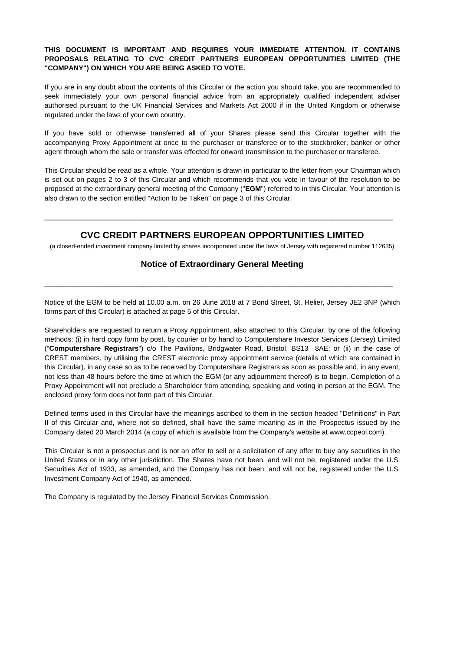## **THIS DOCUMENT IS IMPORTANT AND REQUIRES YOUR IMMEDIATE ATTENTION. IT CONTAINS PROPOSALS RELATING TO CVC CREDIT PARTNERS EUROPEAN OPPORTUNITIES LIMITED (THE "COMPANY") ON WHICH YOU ARE BEING ASKED TO VOTE.**

If you are in any doubt about the contents of this Circular or the action you should take, you are recommended to seek immediately your own personal financial advice from an appropriately qualified independent adviser authorised pursuant to the UK Financial Services and Markets Act 2000 if in the United Kingdom or otherwise regulated under the laws of your own country.

If you have sold or otherwise transferred all of your Shares please send this Circular together with the accompanying Proxy Appointment at once to the purchaser or transferee or to the stockbroker, banker or other agent through whom the sale or transfer was effected for onward transmission to the purchaser or transferee.

This Circular should be read as a whole. Your attention is drawn in particular to the letter from your Chairman which is set out on pages 2 to 3 of this Circular and which recommends that you vote in favour of the resolution to be proposed at the extraordinary general meeting of the Company ("**EGM**") referred to in this Circular. Your attention is also drawn to the section entitled "Action to be Taken" on page 3 of this Circular.

# **CVC CREDIT PARTNERS EUROPEAN OPPORTUNITIES LIMITED**

\_\_\_\_\_\_\_\_\_\_\_\_\_\_\_\_\_\_\_\_\_\_\_\_\_\_\_\_\_\_\_\_\_\_\_\_\_\_\_\_\_\_\_\_\_\_\_\_\_\_\_\_\_\_\_\_\_\_\_\_\_\_\_\_\_\_\_\_\_\_\_\_\_\_\_\_\_\_\_\_\_

(a closed-ended investment company limited by shares incorporated under the laws of Jersey with registered number 112635)

## **Notice of Extraordinary General Meeting**

\_\_\_\_\_\_\_\_\_\_\_\_\_\_\_\_\_\_\_\_\_\_\_\_\_\_\_\_\_\_\_\_\_\_\_\_\_\_\_\_\_\_\_\_\_\_\_\_\_\_\_\_\_\_\_\_\_\_\_\_\_\_\_\_\_\_\_\_\_\_\_\_\_\_\_\_\_\_\_\_\_

Notice of the EGM to be held at 10.00 a.m. on 26 June 2018 at 7 Bond Street, St. Helier, Jersey JE2 3NP (which forms part of this Circular) is attached at page 5 of this Circular.

Shareholders are requested to return a Proxy Appointment, also attached to this Circular, by one of the following methods: (i) in hard copy form by post, by courier or by hand to Computershare Investor Services (Jersey) Limited ("**Computershare Registrars**") c/o The Pavilions, Bridgwater Road, Bristol, BS13 8AE;or (ii) in the case of CREST members, by utilising the CREST electronic proxy appointment service (details of which are contained in this Circular), in any case so as to be received by Computershare Registrars as soon as possible and, in any event, not less than 48 hours before the time at which the EGM (or any adjournment thereof) is to begin. Completion of a Proxy Appointment will not preclude a Shareholder from attending, speaking and voting in person at the EGM. The enclosed proxy form does not form part of this Circular.

Defined terms used in this Circular have the meanings ascribed to them in the section headed "Definitions" in Part II of this Circular and, where not so defined, shall have the same meaning as in the Prospectus issued by the Company dated 20 March 2014 (a copy of which is available from the Company's website at www.ccpeol.com).

This Circular is not a prospectus and is not an offer to sell or a solicitation of any offer to buy any securities in the United States or in any other jurisdiction. The Shares have not been, and will not be, registered under the U.S. Securities Act of 1933, as amended, and the Company has not been, and will not be, registered under the U.S. Investment Company Act of 1940, as amended.

The Company is regulated by the Jersey Financial Services Commission.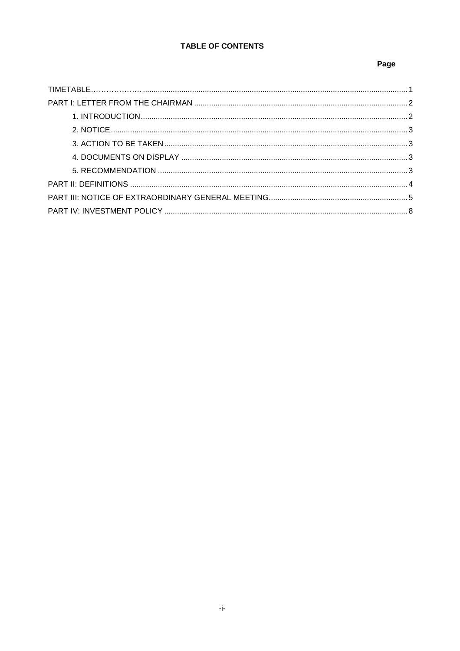# TABLE OF CONTENTS

## Page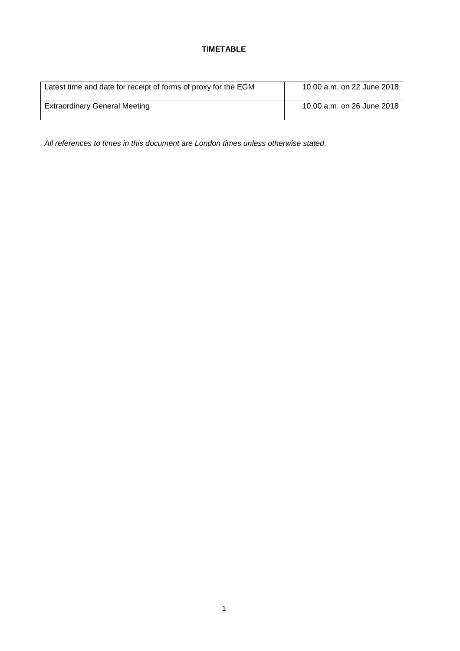# **TIMETABLE**

| Latest time and date for receipt of forms of proxy for the EGM | 10.00 a.m. on 22 June 2018 |
|----------------------------------------------------------------|----------------------------|
| <b>Extraordinary General Meeting</b>                           | 10.00 a.m. on 26 June 2018 |

*All references to times in this document are London times unless otherwise stated.*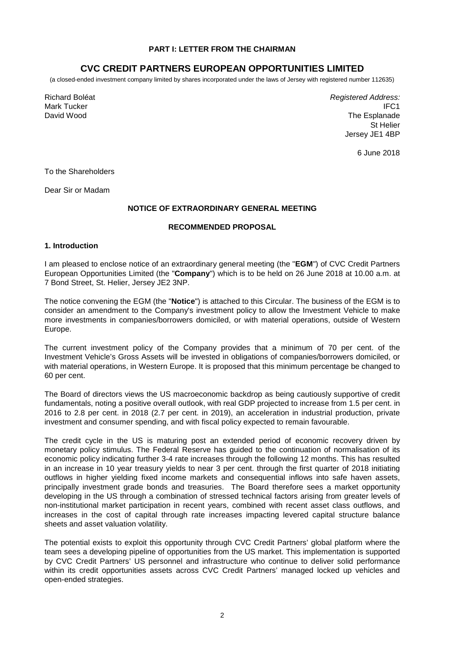### **PART I: LETTER FROM THE CHAIRMAN**

# **CVC CREDIT PARTNERS EUROPEAN OPPORTUNITIES LIMITED**

(a closed-ended investment company limited by shares incorporated under the laws of Jersey with registered number 112635)

Richard Boléat Mark Tucker David Wood

*Registered Address:* IFC1 The Esplanade St Helier Jersey JE1 4BP

6 June 2018

To the Shareholders

Dear Sir or Madam

### **NOTICE OF EXTRAORDINARY GENERAL MEETING**

## **RECOMMENDED PROPOSAL**

#### **1. Introduction**

I am pleased to enclose notice of an extraordinary general meeting (the "**EGM**") of CVC Credit Partners European Opportunities Limited (the "**Company**") which is to be held on 26 June 2018 at 10.00 a.m. at 7 Bond Street, St. Helier, Jersey JE2 3NP.

The notice convening the EGM (the "**Notice**") is attached to this Circular. The business of the EGM is to consider an amendment to the Company's investment policy to allow the Investment Vehicle to make more investments in companies/borrowers domiciled, or with material operations, outside of Western Europe.

The current investment policy of the Company provides that a minimum of 70 per cent. of the Investment Vehicle's Gross Assets will be invested in obligations of companies/borrowers domiciled, or with material operations, in Western Europe. It is proposed that this minimum percentage be changed to 60 per cent.

The Board of directors views the US macroeconomic backdrop as being cautiously supportive of credit fundamentals, noting a positive overall outlook, with real GDP projected to increase from 1.5 per cent. in 2016 to 2.8 per cent. in 2018 (2.7 per cent. in 2019), an acceleration in industrial production, private investment and consumer spending, and with fiscal policy expected to remain favourable.

The credit cycle in the US is maturing post an extended period of economic recovery driven by monetary policy stimulus. The Federal Reserve has guided to the continuation of normalisation of its economic policy indicating further 3-4 rate increases through the following 12 months. This has resulted in an increase in 10 year treasury yields to near 3 per cent. through the first quarter of 2018 initiating outflows in higher yielding fixed income markets and consequential inflows into safe haven assets, principally investment grade bonds and treasuries. The Board therefore sees a market opportunity developing in the US through a combination of stressed technical factors arising from greater levels of non-institutional market participation in recent years, combined with recent asset class outflows, and increases in the cost of capital through rate increases impacting levered capital structure balance sheets and asset valuation volatility.

The potential exists to exploit this opportunity through CVC Credit Partners'global platform where the team sees a developing pipeline of opportunities from the US market. This implementation is supported by CVC Credit Partners'US personnel and infrastructure who continue to deliver solid performance within its credit opportunities assets across CVC Credit Partners'managed locked up vehicles and open-ended strategies.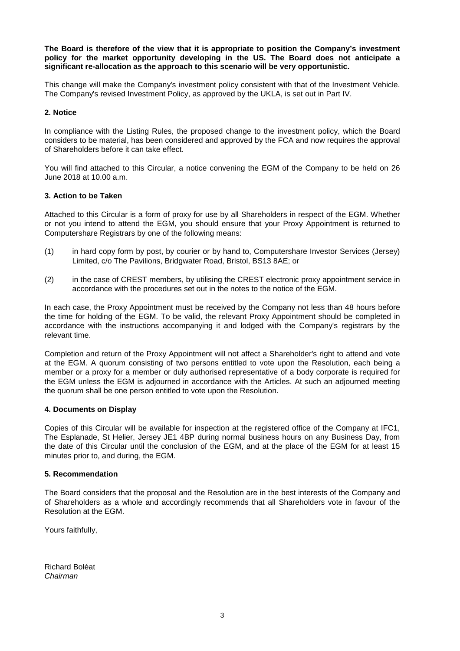**The Board is therefore of the view that it is appropriate to position the Company's investment policy for the market opportunity developing in the US. The Board does not anticipate a significant re-allocation as the approach to this scenario will be very opportunistic.**

This change will make the Company's investment policy consistent with that of the Investment Vehicle. The Company's revised Investment Policy, as approved by the UKLA, is set out in Part IV.

## **2. Notice**

In compliance with the Listing Rules, the proposed change to the investment policy, which the Board considers to be material, has been considered and approved by the FCA and now requires the approval of Shareholders before it can take effect.

You will find attached to this Circular, a notice convening the EGM of the Company to be held on 26 June 2018 at 10.00 a.m.

## **3. Action to be Taken**

Attached to this Circular is a form of proxy for use by all Shareholders in respect of the EGM. W hether or not you intend to attend the EGM, you should ensure that your Proxy Appointment is returned to Computershare Registrars by one of the following means:

- (1) in hard copy form by post, by courier or by hand to, Computershare Investor Services (Jersey) Limited, c/o The Pavilions, Bridgwater Road, Bristol, BS13 8AE; or
- (2) in the case of CREST members, by utilising the CREST electronic proxy appointment service in accordance with the procedures set out in the notes to the notice of the EGM.

In each case, the Proxy Appointment must be received by the Company not less than 48 hours before the time for holding of the EGM. To be valid, the relevant Proxy Appointment should be completed in accordance with the instructions accompanying it and lodged with the Company's registrars by the relevant time.

Completion and return of the Proxy Appointment will not affect a Shareholder's right to attend and vote at the EGM. A quorum consisting of two persons entitled to vote upon the Resolution, each being a member or a proxy for a member or duly authorised representative of a body corporate is required for the EGM unless the EGM is adjourned in accordance with the Articles. At such an adjourned meeting the quorum shall be one person entitled to vote upon the Resolution.

### **4. Documents on Display**

Copies of this Circular will be available for inspection at the registered office of the Company at IFC1, The Esplanade, St Helier, Jersey JE1 4BP during normal business hours on any Business Day, from the date of this Circular until the conclusion of the EGM, and at the place of the EGM for at least 15 minutes prior to, and during, the EGM.

## **5. Recommendation**

The Board considers that the proposal and the Resolution are in the best interests of the Company and of Shareholders as a whole and accordingly recommends that all Shareholders vote in favour of the Resolution at the EGM.

Yours faithfully,

Richard Boléat *Chairman*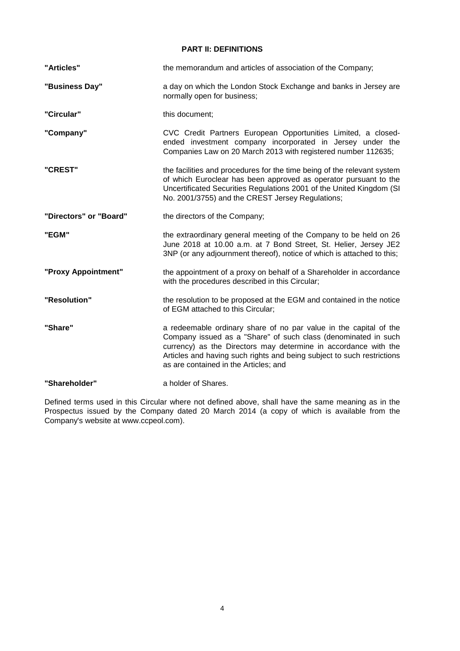## **PART II: DEFINITIONS**

| "Articles"             | the memorandum and articles of association of the Company;                                                                                                                                                                                                                                                                |  |  |
|------------------------|---------------------------------------------------------------------------------------------------------------------------------------------------------------------------------------------------------------------------------------------------------------------------------------------------------------------------|--|--|
| "Business Day"         | a day on which the London Stock Exchange and banks in Jersey are<br>normally open for business;                                                                                                                                                                                                                           |  |  |
| "Circular"             | this document;                                                                                                                                                                                                                                                                                                            |  |  |
| "Company"              | CVC Credit Partners European Opportunities Limited, a closed-<br>ended investment company incorporated in Jersey under the<br>Companies Law on 20 March 2013 with registered number 112635;                                                                                                                               |  |  |
| "CREST"                | the facilities and procedures for the time being of the relevant system<br>of which Euroclear has been approved as operator pursuant to the<br>Uncertificated Securities Regulations 2001 of the United Kingdom (SI<br>No. 2001/3755) and the CREST Jersey Regulations;                                                   |  |  |
| "Directors" or "Board" | the directors of the Company;                                                                                                                                                                                                                                                                                             |  |  |
| "EGM"                  | the extraordinary general meeting of the Company to be held on 26<br>June 2018 at 10.00 a.m. at 7 Bond Street, St. Helier, Jersey JE2<br>3NP (or any adjournment thereof), notice of which is attached to this;                                                                                                           |  |  |
| "Proxy Appointment"    | the appointment of a proxy on behalf of a Shareholder in accordance<br>with the procedures described in this Circular;                                                                                                                                                                                                    |  |  |
| "Resolution"           | the resolution to be proposed at the EGM and contained in the notice<br>of EGM attached to this Circular;                                                                                                                                                                                                                 |  |  |
| "Share"                | a redeemable ordinary share of no par value in the capital of the<br>Company issued as a "Share" of such class (denominated in such<br>currency) as the Directors may determine in accordance with the<br>Articles and having such rights and being subject to such restrictions<br>as are contained in the Articles; and |  |  |
| "Shareholder"          | a holder of Shares.                                                                                                                                                                                                                                                                                                       |  |  |

Defined terms used in this Circular where not defined above, shall have the same meaning as in the Prospectus issued by the Company dated 20 March 2014 (a copy of which is available from the Company's website at www.ccpeol.com).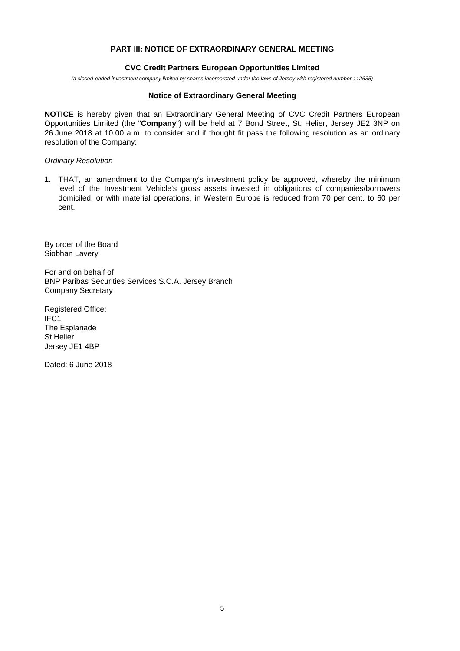## **PART III: NOTICE OF EXTRAORDINARY GENERAL MEETING**

### **CVC Credit Partners European Opportunities Limited**

*(a closed-ended investment companylimited byshares incorporated under the laws of Jerseywith registered number 112635)*

#### **Notice of Extraordinary General Meeting**

**NOTICE** is hereby given that an Extraordinary General Meeting of CVC Credit Partners European Opportunities Limited (the "**Company**") will be held at 7 Bond Street, St. Helier, Jersey JE2 3NP on 26 June 2018 at 10.00 a.m. to consider and if thought fit pass the following resolution as an ordinary resolution of the Company:

### **Ordinary Resolution**

1. THAT, an amendment to the Company's investment policy be approved, whereby the minimum level of the Investment Vehicle's gross assets invested in obligations of companies/borrowers domiciled, or with material operations, in Western Europe is reduced from 70 per cent. to 60 per cent.

By order of the Board Siobhan Lavery

For and on behalf of BNP Paribas Securities Services S.C.A. Jersey Branch Company Secretary

Registered Office: IFC1 The Esplanade St Helier Jersey JE1 4BP

Dated: 6 June 2018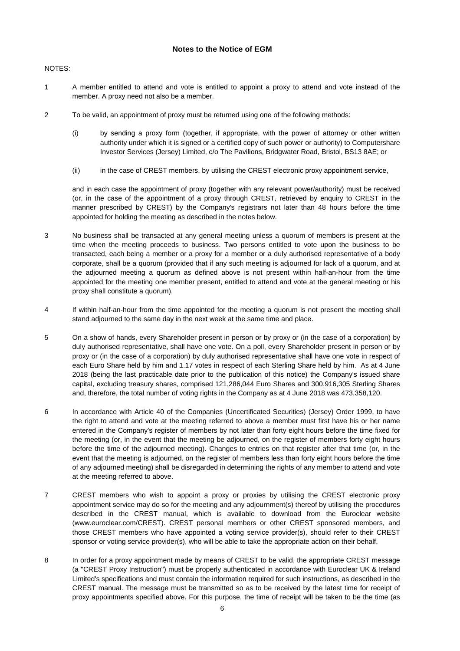## **Notes to the Notice of EGM**

NOTES:

- 1 A member entitled to attend and vote is entitled to appoint a proxy to attend and vote instead of the member. A proxy need not also be a member.
- 2 To be valid, an appointment of proxy must be returned using one of the following methods:
	- (i) by sending a proxy form (together, if appropriate, with the power of attorney or other written authority under which it is signed or a certified copy of such power or authority) to Computershare Investor Services (Jersey) Limited, c/o The Pavilions, Bridgwater Road, Bristol, BS13 8AE; or
	- (ii) in the case of CREST members, by utilising the CREST electronic proxy appointment service,

and in each case the appointment of proxy (together with any relevant power/authority) must be received (or, in the case of the appointment of a proxy through CREST, retrieved by enquiry to CREST in the manner prescribed by CREST) by the Company's registrars not later than 48 hours before the time appointed for holding the meeting as described in the notes below.

- 3 No business shall be transacted at any general meeting unless a quorum of members is present at the time when the meeting proceeds to business. Two persons entitled to vote upon the business to be transacted, each being a member or a proxy for a member or a duly authorised representative of a body corporate, shall be a quorum (provided that if any such meeting is adjourned for lack of a quorum, and at the adjourned meeting a quorum as defined above is not present within half-an-hour from the time appointed for the meeting one member present, entitled to attend and vote at the general meeting or his proxy shall constitute a quorum).
- 4 If within half-an-hour from the time appointed for the meeting a quorum is not present the meeting shall stand adjourned to the same day in the next week at the same time and place.
- 5 On a show of hands, every Shareholder present in person or by proxy or (in the case of a corporation) by duly authorised representative, shall have one vote. On a poll, every Shareholder present in person or by proxy or (in the case of a corporation) by duly authorised representative shall have one vote in respect of each Euro Share held by him and 1.17 votes in respect of each Sterling Share held by him. As at 4 June 2018 (being the last practicable date prior to the publication of this notice) the Company's issued share capital, excluding treasury shares, comprised 121,286,044 Euro Shares and 300,916,305 Sterling Shares and, therefore, the total number of voting rights in the Company as at 4 June 2018 was 473,358,120.
- 6 In accordance with Article 40 of the Companies (Uncertificated Securities) (Jersey) Order 1999, to have the right to attend and vote at the meeting referred to above a member must first have his or her name entered in the Company's register of members by not later than forty eight hours before the time fixed for the meeting (or, in the event that the meeting be adjourned, on the register of members forty eight hours before the time of the adjourned meeting). Changes to entries on that register after that time (or, in the event that the meeting is adjourned, on the register of members less than forty eight hours before the time of any adjourned meeting) shall be disregarded in determining the rights of any member to attend and vote at the meeting referred to above.
- 7 CREST members who wish to appoint a proxy or proxies by utilising the CREST electronic proxy appointment service may do so for the meeting and any adjournment(s) thereof by utilising the procedures described in the CREST manual, which is available to download from the Euroclear website (www.euroclear.com/CREST). CREST personal members or other CREST sponsored members, and those CREST members who have appointed a voting service provider(s), should refer to their CREST sponsor or voting service provider(s), who will be able to take the appropriate action on their behalf.
- 8 In order for a proxy appointment made by means of CREST to be valid, the appropriate CREST message (a "CREST Proxy Instruction") must be properly authenticated in accordance with Euroclear UK & Ireland Limited's specifications and must contain the information required for such instructions, as described in the CREST manual. The message must be transmitted so as to be received by the latest time for receipt of proxy appointments specified above. For this purpose, the time of receipt will be taken to be the time (as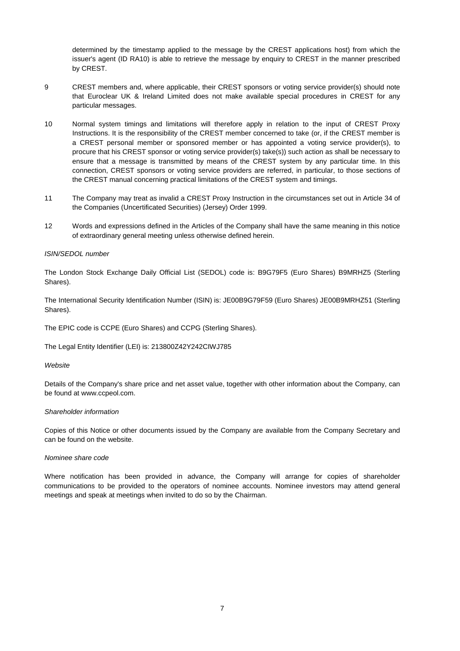determined by the timestamp applied to the message by the CREST applications host) from which the issuer's agent (ID RA10) is able to retrieve the message by enquiry to CREST in the manner prescribed by CREST.

- 9 CREST members and, where applicable, their CREST sponsors or voting service provider(s) should note that Euroclear UK & Ireland Limited does not make available special procedures in CREST for any particular messages.
- 10 Normal system timings and limitations will therefore apply in relation to the input of CREST Proxy Instructions. It is the responsibility of the CREST member concerned to take (or, if the CREST member is a CREST personal member or sponsored member or has appointed a voting service provider(s), to procure that his CREST sponsor or voting service provider(s) take(s)) such action as shall be necessary to ensure that a message is transmitted by means of the CREST system by any particular time. In this connection, CREST sponsors or voting service providers are referred, in particular, to those sections of the CREST manual concerning practical limitations of the CREST system and timings.
- 11 The Company may treat as invalid a CREST Proxy Instruction in the circumstances set out in Article 34 of the Companies (Uncertificated Securities) (Jersey) Order 1999.
- 12 W ords and expressions defined in the Articles of the Company shall have the same meaning in this notice of extraordinary general meeting unless otherwise defined herein.

#### *ISIN/SEDOL number*

The London Stock Exchange Daily Official List (SEDOL) code is: B9G79F5 (Euro Shares) B9MRHZ5 (Sterling Shares).

The International Security Identification Number (ISIN) is: JE00B9G79F59 (Euro Shares) JE00B9MRHZ51 (Sterling Shares).

The EPIC code is CCPE (Euro Shares) and CCPG (Sterling Shares).

The Legal Entity Identifier (LEI) is: 213800Z42Y242CIW J785

#### *W ebsite*

Details of the Company's share price and net asset value, together with other information about the Company, can be found at www.ccpeol.com.

#### *Shareholder information*

Copies of this Notice or other documents issued by the Company are available from the Company Secretary and can be found on the website.

#### *Nominee share code*

Where notification has been provided in advance, the Company will arrange for copies of shareholder communications to be provided to the operators of nominee accounts. Nominee investors may attend general meetings and speak at meetings when invited to do so by the Chairman.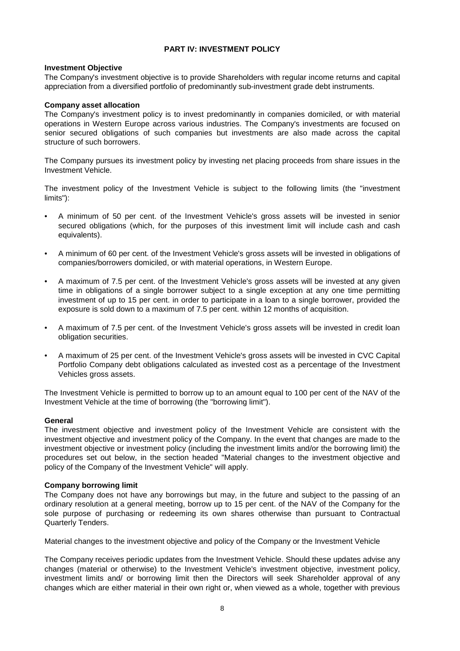# **PART IV: INVESTMENT POLICY**

## **Investment Objective**

The Company's investment objective is to provide Shareholders with regular income returns and capital appreciation from a diversified portfolio of predominantly sub-investment grade debt instruments.

### **Company asset allocation**

The Company's investment policy is to invest predominantly in companies domiciled, or with material operations in Western Europe across various industries. The Company's investments are focused on senior secured obligations of such companies but investments are also made across the capital structure of such borrowers.

The Company pursues its investment policy by investing net placing proceeds from share issues in the Investment Vehicle.

The investment policy of the Investment Vehicle is subject to the following limits (the "investment limits"):

- A minimum of 50 per cent. of the Investment Vehicle's gross assets will be invested in senior secured obligations (which, for the purposes of this investment limit will include cash and cash equivalents).
- A minimum of 60 per cent. of the Investment Vehicle's gross assets will be invested in obligations of companies/borrowers domiciled, or with material operations, in Western Europe.
- A maximum of 7.5 per cent. of the Investment Vehicle's gross assets will be invested at any given time in obligations of a single borrower subject to a single exception at any one time permitting investment of up to 15 per cent. in order to participate in a loan to a single borrower, provided the exposure is sold down to a maximum of 7.5 per cent. within 12 months of acquisition.
- A maximum of 7.5 per cent. of the Investment Vehicle's gross assets will be invested in credit loan obligation securities.
- A maximum of 25 per cent. of the Investment Vehicle's gross assets will be invested in CVC Capital Portfolio Company debt obligations calculated as invested cost as a percentage of the Investment Vehicles gross assets.

The Investment Vehicle is permitted to borrow up to an amount equal to 100 per cent of the NAV of the Investment Vehicle at the time of borrowing (the "borrowing limit").

### **General**

The investment objective and investment policy of the Investment Vehicle are consistent with the investment objective and investment policy of the Company. In the event that changes are made to the investment objective or investment policy (including the investment limits and/or the borrowing limit) the procedures set out below, in the section headed "Material changes to the investment objective and policy of the Company of the Investment Vehicle" will apply.

### **Company borrowing limit**

The Company does not have any borrowings but may, in the future and subject to the passing of an ordinary resolution at a general meeting, borrow up to 15 per cent. of the NAV of the Company for the sole purpose of purchasing or redeeming its own shares otherwise than pursuant to Contractual Quarterly Tenders.

Material changes to the investment objective and policy of the Company or the Investment Vehicle

The Company receives periodic updates from the Investment Vehicle. Should these updates advise any changes (material or otherwise) to the Investment Vehicle's investment objective, investment policy, investment limits and/ or borrowing limit then the Directors will seek Shareholder approval of any changes which are either material in their own right or, when viewed as a whole, together with previous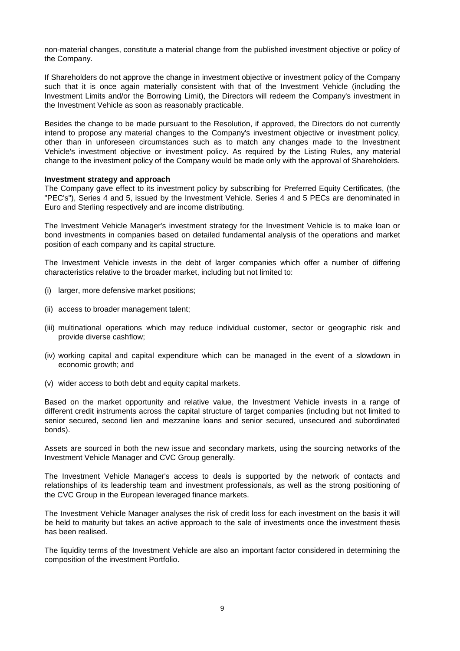non-material changes, constitute a material change from the published investment objective or policy of the Company.

If Shareholders do not approve the change in investment objective or investment policy of the Company such that it is once again materially consistent with that of the Investment Vehicle (including the Investment Limits and/or the Borrowing Limit), the Directors will redeem the Company's investment in the Investment Vehicle as soon as reasonably practicable.

Besides the change to be made pursuant to the Resolution, if approved, the Directors do not currently intend to propose any material changes to the Company's investment objective or investment policy, other than in unforeseen circumstances such as to match any changes made to the Investment Vehicle's investment objective or investment policy. As required by the Listing Rules, any material change to the investment policy of the Company would be made only with the approval of Shareholders.

#### **Investment strategy and approach**

The Company gave effect to its investment policy by subscribing for Preferred Equity Certificates, (the "PEC's"), Series 4 and 5, issued by the Investment Vehicle. Series 4 and 5 PECs are denominated in Euro and Sterling respectively and are income distributing.

The Investment Vehicle Manager's investment strategy for the Investment Vehicle is to make loan or bond investments in companies based on detailed fundamental analysis of the operations and market position of each company and its capital structure.

The Investment Vehicle invests in the debt of larger companies which offer a number of differing characteristics relative to the broader market, including but not limited to:

- (i) larger, more defensive market positions;
- (ii) access to broader management talent;
- (iii) multinational operations which may reduce individual customer, sector or geographic risk and provide diverse cashflow;
- (iv) working capital and capital expenditure which can be managed in the event of a slowdown in economic growth; and
- (v) wider access to both debt and equity capital markets.

Based on the market opportunity and relative value, the Investment Vehicle invests in a range of different credit instruments across the capital structure of target companies (including but not limited to senior secured, second lien and mezzanine loans and senior secured, unsecured and subordinated bonds).

Assets are sourced in both the new issue and secondary markets, using the sourcing networks of the Investment Vehicle Manager and CVC Group generally.

The Investment Vehicle Manager's access to deals is supported by the network of contacts and relationships of its leadership team and investment professionals, as well as the strong positioning of the CVC Group in the European leveraged finance markets.

The Investment Vehicle Manager analyses the risk of credit loss for each investment on the basis it will be held to maturity but takes an active approach to the sale of investments once the investment thesis has been realised.

The liquidity terms of the Investment Vehicle are also an important factor considered in determining the composition of the investment Portfolio.